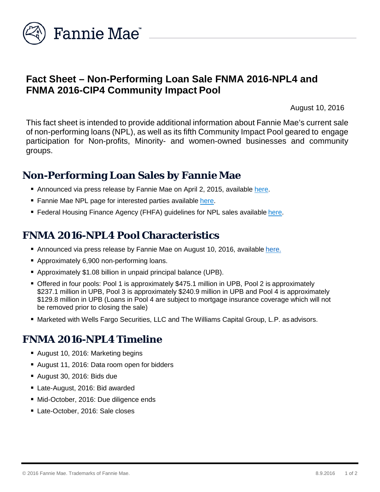

#### **Fact Sheet – Non-Performing Loan Sale FNMA 2016-NPL4 and FNMA 2016-CIP4 Community Impact Pool**

August 10, 2016

This fact sheet is intended to provide additional information about Fannie Mae's current sale of non-performing loans (NPL), as well as its fifth Community Impact Pool geared to engage participation for Non-profits, Minority- and women-owned businesses and community groups.

#### **Non-Performing Loan Sales by Fannie Mae**

- Announced via press release by Fannie Mae on April 2, 2015, available [here.](http://www.fanniemae.com/portal/about-us/media/financial-news/2015/6233.html)
- Fannie Mae NPL page for interested parties available [here.](http://www.fanniemae.com/portal/funding-the-market/npl/index.html)
- **Federal Housing Finance Agency (FHFA) guidelines for NPL sales available [here.](http://www.fhfa.gov/Media/PublicAffairs/Pages/Non-Performing-Loan-%28NPL%29-Sale-Requirements.aspx)**

### **FNMA 2016-NPL4 Pool Characteristics**

- Announced via press release by Fannie Mae on August 10, 2016, available [here.](http://www.fanniemae.com/portal/about-us/media/financial-news/2016/6425.html)
- Approximately 6,900 non-performing loans.
- Approximately \$1.08 billion in unpaid principal balance (UPB).
- **Offered in four pools: Pool 1 is approximately \$475.1 million in UPB, Pool 2 is approximately** \$237.1 million in UPB, Pool 3 is approximately \$240.9 million in UPB and Pool 4 is approximately \$129.8 million in UPB (Loans in Pool 4 are subject to mortgage insurance coverage which will not be removed prior to closing the sale)
- Marketed with Wells Fargo Securities, LLC and The Williams Capital Group, L.P. as advisors.

#### **FNMA 2016-NPL4 Timeline**

- August 10, 2016: Marketing begins
- August 11, 2016: Data room open for bidders
- August 30, 2016: Bids due
- Late-August, 2016: Bid awarded
- Mid-October, 2016: Due diligence ends
- Late-October, 2016: Sale closes